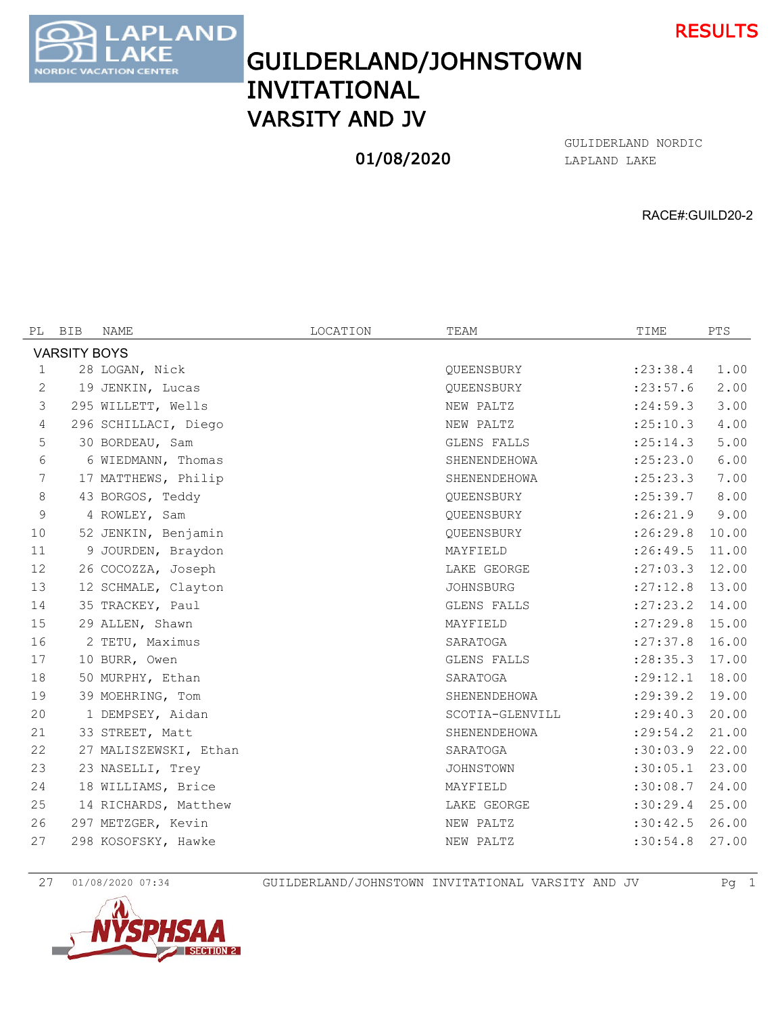

GUILDERLAND/JOHNSTOWN INVITATIONAL VARSITY AND JV

**AND** 

**ATION CENTER** 

**ORDIC** 

## 01/08/2020

LAPLAND LAKE GULIDERLAND NORDIC

RACE#:GUILD20-2

| PL          | <b>BIB</b>          | NAME                  | LOCATION | TEAM             | TIME       | PTS   |
|-------------|---------------------|-----------------------|----------|------------------|------------|-------|
|             | <b>VARSITY BOYS</b> |                       |          |                  |            |       |
| $\mathbf 1$ |                     | 28 LOGAN, Nick        |          | QUEENSBURY       | : 23:38.4  | 1.00  |
| 2           |                     | 19 JENKIN, Lucas      |          | QUEENSBURY       | : 23: 57.6 | 2.00  |
| 3           |                     | 295 WILLETT, Wells    |          | NEW PALTZ        | : 24:59.3  | 3.00  |
| 4           |                     | 296 SCHILLACI, Diego  |          | NEW PALTZ        | : 25:10.3  | 4.00  |
| 5           |                     | 30 BORDEAU, Sam       |          | GLENS FALLS      | : 25:14.3  | 5.00  |
| 6           |                     | 6 WIEDMANN, Thomas    |          | SHENENDEHOWA     | : 25: 23.0 | 6.00  |
| 7           |                     | 17 MATTHEWS, Philip   |          | SHENENDEHOWA     | : 25: 23.3 | 7.00  |
| 8           |                     | 43 BORGOS, Teddy      |          | QUEENSBURY       | : 25:39.7  | 8.00  |
| 9           |                     | 4 ROWLEY, Sam         |          | QUEENSBURY       | :26:21.9   | 9.00  |
| 10          |                     | 52 JENKIN, Benjamin   |          | QUEENSBURY       | :26:29.8   | 10.00 |
| 11          |                     | 9 JOURDEN, Braydon    |          | MAYFIELD         | : 26: 49.5 | 11.00 |
| 12          |                     | 26 COCOZZA, Joseph    |          | LAKE GEORGE      | : 27:03.3  | 12.00 |
| 13          |                     | 12 SCHMALE, Clayton   |          | <b>JOHNSBURG</b> | : 27:12.8  | 13.00 |
| 14          |                     | 35 TRACKEY, Paul      |          | GLENS FALLS      | : 27: 23.2 | 14.00 |
| 15          |                     | 29 ALLEN, Shawn       |          | MAYFIELD         | : 27: 29.8 | 15.00 |
| 16          |                     | 2 TETU, Maximus       |          | SARATOGA         | : 27: 37.8 | 16.00 |
| 17          |                     | 10 BURR, Owen         |          | GLENS FALLS      | : 28: 35.3 | 17.00 |
| 18          |                     | 50 MURPHY, Ethan      |          | SARATOGA         | : 29:12.1  | 18.00 |
| 19          |                     | 39 MOEHRING, Tom      |          | SHENENDEHOWA     | : 29:39.2  | 19.00 |
| 20          |                     | 1 DEMPSEY, Aidan      |          | SCOTIA-GLENVILL  | : 29: 40.3 | 20.00 |
| 21          |                     | 33 STREET, Matt       |          | SHENENDEHOWA     | : 29:54.2  | 21.00 |
| 22          |                     | 27 MALISZEWSKI, Ethan |          | SARATOGA         | :30:03.9   | 22.00 |
| 23          |                     | 23 NASELLI, Trey      |          | JOHNSTOWN        | :30:05.1   | 23.00 |
| 24          |                     | 18 WILLIAMS, Brice    |          | MAYFIELD         | :30:08.7   | 24.00 |
| 25          |                     | 14 RICHARDS, Matthew  |          | LAKE GEORGE      | :30:29.4   | 25.00 |
| 26          |                     | 297 METZGER, Kevin    |          | NEW PALTZ        | :30:42.5   | 26.00 |
| 27          |                     | 298 KOSOFSKY, Hawke   |          | NEW PALTZ        | :30:54.8   | 27.00 |
|             |                     |                       |          |                  |            |       |

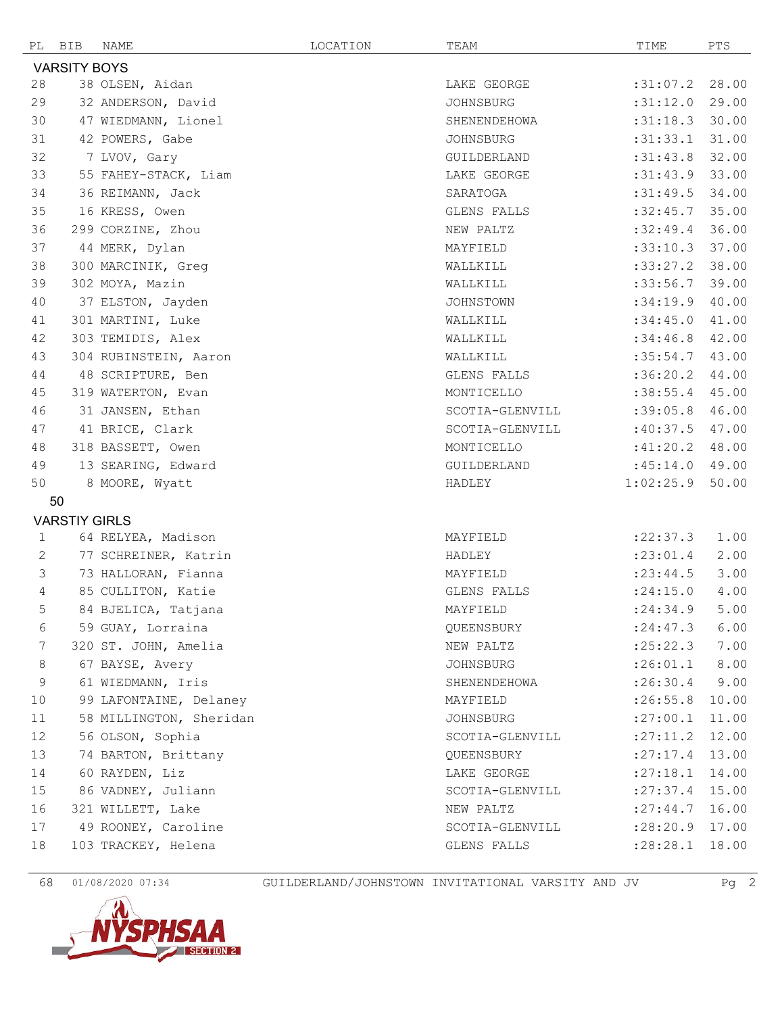|                     | PL BIB               | NAME                    | LOCATION | TEAM             | TIME       | PTS   |  |  |
|---------------------|----------------------|-------------------------|----------|------------------|------------|-------|--|--|
| <b>VARSITY BOYS</b> |                      |                         |          |                  |            |       |  |  |
| 28                  |                      | 38 OLSEN, Aidan         |          | LAKE GEORGE      | :31:07.2   | 28.00 |  |  |
| 29                  |                      | 32 ANDERSON, David      |          | <b>JOHNSBURG</b> | :31:12.0   | 29.00 |  |  |
| 30                  |                      | 47 WIEDMANN, Lionel     |          | SHENENDEHOWA     | :31:18.3   | 30.00 |  |  |
| 31                  |                      | 42 POWERS, Gabe         |          | <b>JOHNSBURG</b> | :31:33.1   | 31.00 |  |  |
| 32                  |                      | 7 LVOV, Gary            |          | GUILDERLAND      | :31:43.8   | 32.00 |  |  |
| 33                  |                      | 55 FAHEY-STACK, Liam    |          | LAKE GEORGE      | :31:43.9   | 33.00 |  |  |
| 34                  |                      | 36 REIMANN, Jack        |          | SARATOGA         | :31:49.5   | 34.00 |  |  |
| 35                  |                      | 16 KRESS, Owen          |          | GLENS FALLS      | :32:45.7   | 35.00 |  |  |
| 36                  |                      | 299 CORZINE, Zhou       |          | NEW PALTZ        | :32:49.4   | 36.00 |  |  |
| 37                  |                      | 44 MERK, Dylan          |          | MAYFIELD         | :33:10.3   | 37.00 |  |  |
| 38                  |                      | 300 MARCINIK, Greg      |          | WALLKILL         | :33:27.2   | 38.00 |  |  |
| 39                  |                      | 302 MOYA, Mazin         |          | WALLKILL         | :33:56.7   | 39.00 |  |  |
| 40                  |                      | 37 ELSTON, Jayden       |          | JOHNSTOWN        | :34:19.9   | 40.00 |  |  |
| 41                  |                      | 301 MARTINI, Luke       |          | WALLKILL         | :34:45.0   | 41.00 |  |  |
| 42                  |                      | 303 TEMIDIS, Alex       |          | WALLKILL         | :34:46.8   | 42.00 |  |  |
| 43                  |                      | 304 RUBINSTEIN, Aaron   |          | WALLKILL         | :35:54.7   | 43.00 |  |  |
| 44                  |                      | 48 SCRIPTURE, Ben       |          | GLENS FALLS      | :36:20.2   | 44.00 |  |  |
| 45                  |                      | 319 WATERTON, Evan      |          | MONTICELLO       | :38:55.4   | 45.00 |  |  |
| 46                  |                      | 31 JANSEN, Ethan        |          | SCOTIA-GLENVILL  | :39:05.8   | 46.00 |  |  |
| 47                  |                      | 41 BRICE, Clark         |          | SCOTIA-GLENVILL  | :40:37.5   | 47.00 |  |  |
| 48                  |                      | 318 BASSETT, Owen       |          | MONTICELLO       | :41:20.2   | 48.00 |  |  |
| 49                  |                      | 13 SEARING, Edward      |          | GUILDERLAND      | :45:14.0   | 49.00 |  |  |
| 50                  |                      | 8 MOORE, Wyatt          |          | HADLEY           | 1:02:25.9  | 50.00 |  |  |
|                     | 50                   |                         |          |                  |            |       |  |  |
|                     | <b>VARSTIY GIRLS</b> |                         |          |                  |            |       |  |  |
| $\mathbf{1}$        |                      | 64 RELYEA, Madison      |          | MAYFIELD         | : 22: 37.3 | 1.00  |  |  |
| $\mathbf{2}$        |                      | 77 SCHREINER, Katrin    |          | HADLEY           | : 23:01.4  | 2.00  |  |  |
| 3                   |                      | 73 HALLORAN, Fianna     |          | MAYFIELD         | : 23: 44.5 | 3.00  |  |  |
| 4                   |                      | 85 CULLITON, Katie      |          | GLENS FALLS      | : 24:15.0  | 4.00  |  |  |
| 5                   |                      | 84 BJELICA, Tatjana     |          | MAYFIELD         | : 24:34.9  | 5.00  |  |  |
| 6                   |                      | 59 GUAY, Lorraina       |          | OUEENSBURY       | : 24:47.3  | 6.00  |  |  |
| 7                   |                      | 320 ST. JOHN, Amelia    |          | NEW PALTZ        | :25:22.3   | 7.00  |  |  |
| $\,8\,$             |                      | 67 BAYSE, Avery         |          | JOHNSBURG        | :26:01.1   | 8.00  |  |  |
| 9                   |                      | 61 WIEDMANN, Iris       |          | SHENENDEHOWA     | : 26:30.4  | 9.00  |  |  |
| 10                  |                      | 99 LAFONTAINE, Delaney  |          | MAYFIELD         | :26:55.8   | 10.00 |  |  |
| 11                  |                      | 58 MILLINGTON, Sheridan |          | JOHNSBURG        | :27:00.1   | 11.00 |  |  |
| $12 \overline{ }$   |                      | 56 OLSON, Sophia        |          | SCOTIA-GLENVILL  | : 27: 11.2 | 12.00 |  |  |
| 13                  |                      | 74 BARTON, Brittany     |          | QUEENSBURY       | : 27: 17.4 | 13.00 |  |  |
| 14                  |                      | 60 RAYDEN, Liz          |          | LAKE GEORGE      | : 27:18.1  | 14.00 |  |  |
| 15                  |                      | 86 VADNEY, Juliann      |          | SCOTIA-GLENVILL  | : 27: 37.4 | 15.00 |  |  |
| 16                  |                      | 321 WILLETT, Lake       |          | NEW PALTZ        | : 27:44.7  | 16.00 |  |  |
| 17                  |                      | 49 ROONEY, Caroline     |          | SCOTIA-GLENVILL  | :28:20.9   | 17.00 |  |  |
| 18                  |                      | 103 TRACKEY, Helena     |          | GLENS FALLS      | : 28:28.1  | 18.00 |  |  |

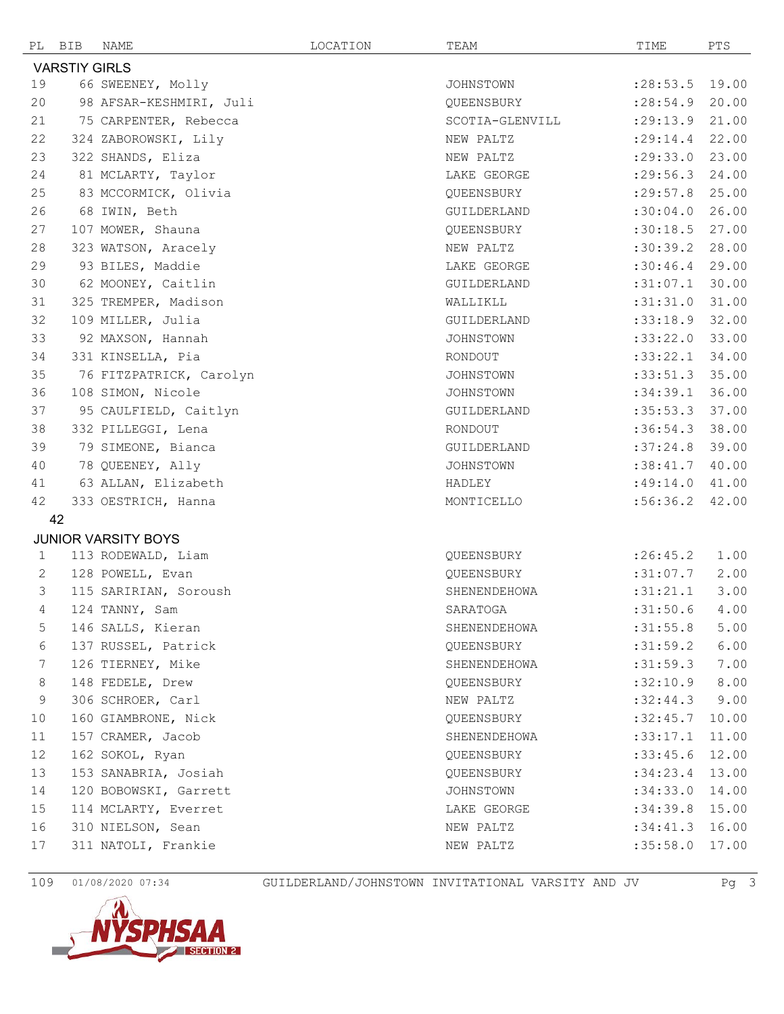|                            | PL BIB | NAME                    | LOCATION | TEAM             | TIME             | PTS   |  |  |
|----------------------------|--------|-------------------------|----------|------------------|------------------|-------|--|--|
| <b>VARSTIY GIRLS</b>       |        |                         |          |                  |                  |       |  |  |
| 19                         |        | 66 SWEENEY, Molly       |          | <b>JOHNSTOWN</b> | : 28:53.5        | 19.00 |  |  |
| 20                         |        | 98 AFSAR-KESHMIRI, Juli |          | QUEENSBURY       | : 28:54.9        | 20.00 |  |  |
| 21                         |        | 75 CARPENTER, Rebecca   |          | SCOTIA-GLENVILL  | : 29:13.9        | 21.00 |  |  |
| 22                         |        | 324 ZABOROWSKI, Lily    |          | NEW PALTZ        | : 29:14.4        | 22.00 |  |  |
| 23                         |        | 322 SHANDS, Eliza       |          | NEW PALTZ        | :29:33.0         | 23.00 |  |  |
| 24                         |        | 81 MCLARTY, Taylor      |          | LAKE GEORGE      | : 29:56.3        | 24.00 |  |  |
| 25                         |        | 83 MCCORMICK, Olivia    |          | QUEENSBURY       | : 29: 57.8       | 25.00 |  |  |
| 26                         |        | 68 IWIN, Beth           |          | GUILDERLAND      | :30:04.0         | 26.00 |  |  |
| 27                         |        | 107 MOWER, Shauna       |          | QUEENSBURY       | :30:18.5         | 27.00 |  |  |
| 28                         |        | 323 WATSON, Aracely     |          | NEW PALTZ        | :30:39.2         | 28.00 |  |  |
| 29                         |        | 93 BILES, Maddie        |          | LAKE GEORGE      | :30:46.4         | 29.00 |  |  |
| 30                         |        | 62 MOONEY, Caitlin      |          | GUILDERLAND      | :31:07.1         | 30.00 |  |  |
| 31                         |        | 325 TREMPER, Madison    |          | WALLIKLL         | :31:31.0         | 31.00 |  |  |
| 32                         |        | 109 MILLER, Julia       |          | GUILDERLAND      | :33:18.9         | 32.00 |  |  |
| 33                         |        | 92 MAXSON, Hannah       |          | <b>JOHNSTOWN</b> | :33:22.0         | 33.00 |  |  |
| 34                         |        | 331 KINSELLA, Pia       |          | RONDOUT          | :33:22.1         | 34.00 |  |  |
| 35                         |        | 76 FITZPATRICK, Carolyn |          | JOHNSTOWN        | :33:51.3         | 35.00 |  |  |
| 36                         |        | 108 SIMON, Nicole       |          | JOHNSTOWN        | :34:39.1         | 36.00 |  |  |
| 37                         |        | 95 CAULFIELD, Caitlyn   |          | GUILDERLAND      | :35:53.3         | 37.00 |  |  |
| 38                         |        | 332 PILLEGGI, Lena      |          | RONDOUT          | :36:54.3         | 38.00 |  |  |
| 39                         |        | 79 SIMEONE, Bianca      |          | GUILDERLAND      | :37:24.8         | 39.00 |  |  |
| 40                         |        | 78 QUEENEY, Ally        |          | JOHNSTOWN        | :38:41.7         | 40.00 |  |  |
| 41                         |        | 63 ALLAN, Elizabeth     |          | HADLEY           | :49:14.0         | 41.00 |  |  |
| 42                         |        | 333 OESTRICH, Hanna     |          | MONTICELLO       | :56:36.2         | 42.00 |  |  |
| 42                         |        |                         |          |                  |                  |       |  |  |
| <b>JUNIOR VARSITY BOYS</b> |        |                         |          |                  |                  |       |  |  |
| 1                          |        | 113 RODEWALD, Liam      |          | QUEENSBURY       | : 26: 45.2       | 1.00  |  |  |
| 2                          |        | 128 POWELL, Evan        |          | QUEENSBURY       | :31:07.7         | 2.00  |  |  |
| 3                          |        | 115 SARIRIAN, Soroush   |          | SHENENDEHOWA     | :31:21.1         | 3.00  |  |  |
| 4                          |        | 124 TANNY, Sam          |          | SARATOGA         | $:31:50.6$ 4.00  |       |  |  |
| 5                          |        | 146 SALLS, Kieran       |          | SHENENDEHOWA     | :31:55.8         | 5.00  |  |  |
| 6                          |        | 137 RUSSEL, Patrick     |          | QUEENSBURY       | :31:59.2         | 6.00  |  |  |
| 7                          |        | 126 TIERNEY, Mike       |          | SHENENDEHOWA     | :31:59.3         | 7.00  |  |  |
| 8                          |        | 148 FEDELE, Drew        |          | QUEENSBURY       | :32:10.9         | 8.00  |  |  |
| 9                          |        | 306 SCHROER, Carl       |          | NEW PALTZ        | :32:44.3         | 9.00  |  |  |
| 10                         |        | 160 GIAMBRONE, Nick     |          | QUEENSBURY       | :32:45.7         | 10.00 |  |  |
| 11                         |        | 157 CRAMER, Jacob       |          | SHENENDEHOWA     | :33:17.1         | 11.00 |  |  |
| 12                         |        | 162 SOKOL, Ryan         |          | QUEENSBURY       | :33:45.6         | 12.00 |  |  |
| 13                         |        | 153 SANABRIA, Josiah    |          | OUEENSBURY       | :34:23.4         | 13.00 |  |  |
| 14                         |        | 120 BOBOWSKI, Garrett   |          | JOHNSTOWN        | :34:33.0         | 14.00 |  |  |
| 15                         |        | 114 MCLARTY, Everret    |          | LAKE GEORGE      | $:34:39.8$ 15.00 |       |  |  |
| 16                         |        | 310 NIELSON, Sean       |          | NEW PALTZ        | :34:41.3         | 16.00 |  |  |
| 17                         |        | 311 NATOLI, Frankie     |          | NEW PALTZ        | :35:58.0         | 17.00 |  |  |

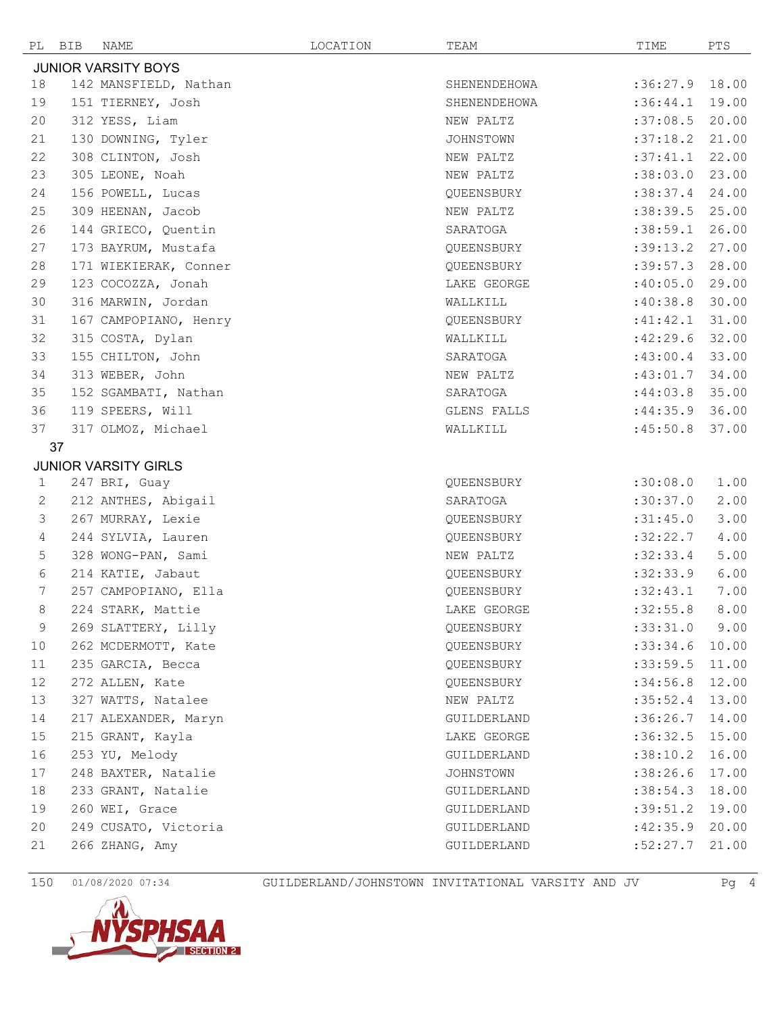|                            | PL BIB | NAME                        | LOCATION | TEAM             | TIME     | PTS   |  |  |
|----------------------------|--------|-----------------------------|----------|------------------|----------|-------|--|--|
| <b>JUNIOR VARSITY BOYS</b> |        |                             |          |                  |          |       |  |  |
| 18                         |        | 142 MANSFIELD, Nathan       |          | SHENENDEHOWA     | :36:27.9 | 18.00 |  |  |
| 19                         |        | 151 TIERNEY, Josh           |          | SHENENDEHOWA     | :36:44.1 | 19.00 |  |  |
| 20                         |        | 312 YESS, Liam              |          | NEW PALTZ        | :37:08.5 | 20.00 |  |  |
| 21                         |        | 130 DOWNING, Tyler          |          | <b>JOHNSTOWN</b> | :37:18.2 | 21.00 |  |  |
| 22                         |        | 308 CLINTON, Josh           |          | NEW PALTZ        | :37:41.1 | 22.00 |  |  |
| 23                         |        | 305 LEONE, Noah             |          | NEW PALTZ        | :38:03.0 | 23.00 |  |  |
| 24                         |        | 156 POWELL, Lucas           |          | QUEENSBURY       | :38:37.4 | 24.00 |  |  |
| 25                         |        | 309 HEENAN, Jacob           |          | NEW PALTZ        | :38:39.5 | 25.00 |  |  |
| 26                         |        | 144 GRIECO, Quentin         |          | SARATOGA         | :38:59.1 | 26.00 |  |  |
| 27                         |        | 173 BAYRUM, Mustafa         |          | QUEENSBURY       | :39:13.2 | 27.00 |  |  |
| 28                         |        | 171 WIEKIERAK, Conner       |          | QUEENSBURY       | :39:57.3 | 28.00 |  |  |
| 29                         |        | 123 COCOZZA, Jonah          |          | LAKE GEORGE      | :40:05.0 | 29.00 |  |  |
| 30                         |        | 316 MARWIN, Jordan          |          | WALLKILL         | :40:38.8 | 30.00 |  |  |
| 31                         |        | 167 CAMPOPIANO, Henry       |          | QUEENSBURY       | :41:42.1 | 31.00 |  |  |
| 32                         |        | 315 COSTA, Dylan            |          | WALLKILL         | :42:29.6 | 32.00 |  |  |
| 33                         |        | 155 CHILTON, John           |          | SARATOGA         | :43:00.4 | 33.00 |  |  |
| 34                         |        | 313 WEBER, John             |          | NEW PALTZ        | :43:01.7 | 34.00 |  |  |
| 35                         |        | 152 SGAMBATI, Nathan        |          | SARATOGA         | :44:03.8 | 35.00 |  |  |
| 36                         |        | 119 SPEERS, Will            |          | GLENS FALLS      | :44:35.9 | 36.00 |  |  |
| 37                         |        | 317 OLMOZ, Michael          |          | WALLKILL         | :45:50.8 | 37.00 |  |  |
|                            | 37     |                             |          |                  |          |       |  |  |
|                            |        | <b>JUNIOR VARSITY GIRLS</b> |          |                  |          |       |  |  |
| $\mathbf{1}$               |        | 247 BRI, Guay               |          | QUEENSBURY       | :30:08.0 | 1.00  |  |  |
| 2                          |        | 212 ANTHES, Abigail         |          | SARATOGA         | :30:37.0 | 2.00  |  |  |
| 3                          |        | 267 MURRAY, Lexie           |          | QUEENSBURY       | :31:45.0 | 3.00  |  |  |
| 4                          |        | 244 SYLVIA, Lauren          |          | QUEENSBURY       | :32:22.7 | 4.00  |  |  |
| 5                          |        | 328 WONG-PAN, Sami          |          | NEW PALTZ        | :32:33.4 | 5.00  |  |  |
| 6                          |        | 214 KATIE, Jabaut           |          | QUEENSBURY       | :32:33.9 | 6.00  |  |  |
| 7                          |        | 257 CAMPOPIANO, Ella        |          | QUEENSBURY       | :32:43.1 | 7.00  |  |  |
| 8                          |        | 224 STARK, Mattie           |          | LAKE GEORGE      | :32:55.8 | 8.00  |  |  |
| 9                          |        | 269 SLATTERY, Lilly         |          | QUEENSBURY       | :33:31.0 | 9.00  |  |  |
| 10                         |        | 262 MCDERMOTT, Kate         |          | OUEENSBURY       | :33:34.6 | 10.00 |  |  |
| 11                         |        | 235 GARCIA, Becca           |          | QUEENSBURY       | :33:59.5 | 11.00 |  |  |
| 12                         |        | 272 ALLEN, Kate             |          | QUEENSBURY       | :34:56.8 | 12.00 |  |  |
| 13                         |        | 327 WATTS, Natalee          |          | NEW PALTZ        | :35:52.4 | 13.00 |  |  |
| 14                         |        | 217 ALEXANDER, Maryn        |          | GUILDERLAND      | :36:26.7 | 14.00 |  |  |
| 15                         |        | 215 GRANT, Kayla            |          | LAKE GEORGE      | :36:32.5 | 15.00 |  |  |
| 16                         |        | 253 YU, Melody              |          | GUILDERLAND      | :38:10.2 | 16.00 |  |  |
| 17                         |        | 248 BAXTER, Natalie         |          | JOHNSTOWN        | :38:26.6 | 17.00 |  |  |
| 18                         |        | 233 GRANT, Natalie          |          | GUILDERLAND      | :38:54.3 | 18.00 |  |  |
| 19                         |        | 260 WEI, Grace              |          | GUILDERLAND      | :39:51.2 | 19.00 |  |  |
| 20                         |        | 249 CUSATO, Victoria        |          | GUILDERLAND      | :42:35.9 | 20.00 |  |  |
| 21                         |        | 266 ZHANG, Amy              |          | GUILDERLAND      | :52:27.7 | 21.00 |  |  |